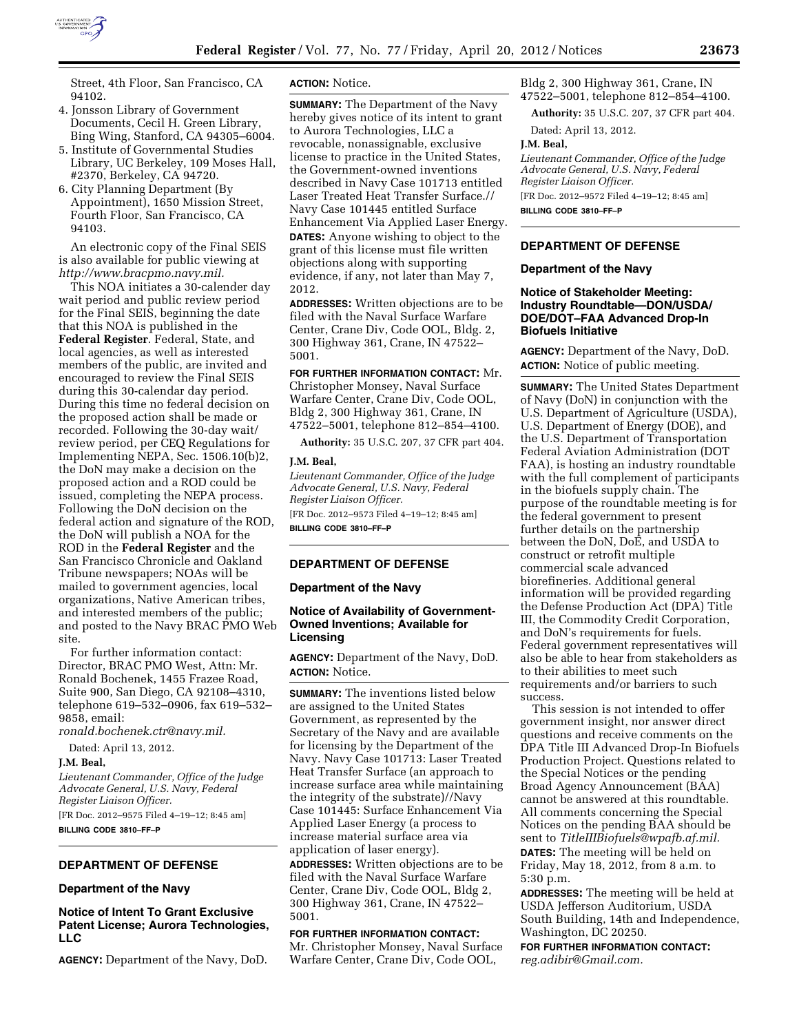

Street, 4th Floor, San Francisco, CA 94102.

- 4. Jonsson Library of Government Documents, Cecil H. Green Library, Bing Wing, Stanford, CA 94305–6004.
- 5. Institute of Governmental Studies Library, UC Berkeley, 109 Moses Hall, #2370, Berkeley, CA 94720.
- 6. City Planning Department (By Appointment), 1650 Mission Street, Fourth Floor, San Francisco, CA 94103.

An electronic copy of the Final SEIS is also available for public viewing at *[http://www.bracpmo.navy.mil.](http://www.bracpmo.navy.mil)* 

This NOA initiates a 30-calender day wait period and public review period for the Final SEIS, beginning the date that this NOA is published in the **Federal Register**. Federal, State, and local agencies, as well as interested members of the public, are invited and encouraged to review the Final SEIS during this 30-calendar day period. During this time no federal decision on the proposed action shall be made or recorded. Following the 30-day wait/ review period, per CEQ Regulations for Implementing NEPA, Sec. 1506.10(b)2, the DoN may make a decision on the proposed action and a ROD could be issued, completing the NEPA process. Following the DoN decision on the federal action and signature of the ROD, the DoN will publish a NOA for the ROD in the **Federal Register** and the San Francisco Chronicle and Oakland Tribune newspapers; NOAs will be mailed to government agencies, local organizations, Native American tribes, and interested members of the public; and posted to the Navy BRAC PMO Web site.

For further information contact: Director, BRAC PMO West, Attn: Mr. Ronald Bochenek, 1455 Frazee Road, Suite 900, San Diego, CA 92108–4310, telephone 619–532–0906, fax 619–532– 9858, email:

*[ronald.bochenek.ctr@navy.mil.](mailto:ronald.bochenek.ctr@navy.mil)* 

Dated: April 13, 2012.

#### **J.M. Beal,**

*Lieutenant Commander, Office of the Judge Advocate General, U.S. Navy, Federal Register Liaison Officer.* 

[FR Doc. 2012–9575 Filed 4–19–12; 8:45 am] **BILLING CODE 3810–FF–P** 

### **DEPARTMENT OF DEFENSE**

#### **Department of the Navy**

**Notice of Intent To Grant Exclusive Patent License; Aurora Technologies, LLC** 

**AGENCY:** Department of the Navy, DoD.

#### **ACTION:** Notice.

**SUMMARY:** The Department of the Navy hereby gives notice of its intent to grant to Aurora Technologies, LLC a revocable, nonassignable, exclusive license to practice in the United States, the Government-owned inventions described in Navy Case 101713 entitled Laser Treated Heat Transfer Surface.// Navy Case 101445 entitled Surface Enhancement Via Applied Laser Energy. **DATES:** Anyone wishing to object to the

grant of this license must file written objections along with supporting evidence, if any, not later than May 7, 2012.

**ADDRESSES:** Written objections are to be filed with the Naval Surface Warfare Center, Crane Div, Code OOL, Bldg. 2, 300 Highway 361, Crane, IN 47522– 5001.

# **FOR FURTHER INFORMATION CONTACT:** Mr.

Christopher Monsey, Naval Surface Warfare Center, Crane Div, Code OOL, Bldg 2, 300 Highway 361, Crane, IN 47522–5001, telephone 812–854–4100.

**Authority:** 35 U.S.C. 207, 37 CFR part 404.

#### **J.M. Beal,**

*Lieutenant Commander, Office of the Judge Advocate General, U.S. Navy, Federal Register Liaison Officer.*  [FR Doc. 2012–9573 Filed 4–19–12; 8:45 am]

**BILLING CODE 3810–FF–P** 

## **DEPARTMENT OF DEFENSE**

#### **Department of the Navy**

# **Notice of Availability of Government-Owned Inventions; Available for Licensing**

**AGENCY:** Department of the Navy, DoD. **ACTION:** Notice.

**SUMMARY:** The inventions listed below are assigned to the United States Government, as represented by the Secretary of the Navy and are available for licensing by the Department of the Navy. Navy Case 101713: Laser Treated Heat Transfer Surface (an approach to increase surface area while maintaining the integrity of the substrate)//Navy Case 101445: Surface Enhancement Via Applied Laser Energy (a process to increase material surface area via application of laser energy).

**ADDRESSES:** Written objections are to be filed with the Naval Surface Warfare Center, Crane Div, Code OOL, Bldg 2, 300 Highway 361, Crane, IN 47522– 5001.

#### **FOR FURTHER INFORMATION CONTACT:**

Mr. Christopher Monsey, Naval Surface Warfare Center, Crane Div, Code OOL,

Bldg 2, 300 Highway 361, Crane, IN 47522–5001, telephone 812–854–4100.

**Authority:** 35 U.S.C. 207, 37 CFR part 404.

Dated: April 13, 2012.

#### **J.M. Beal,**

*Lieutenant Commander, Office of the Judge Advocate General, U.S. Navy, Federal Register Liaison Officer.* 

[FR Doc. 2012–9572 Filed 4–19–12; 8:45 am] **BILLING CODE 3810–FF–P** 

# **DEPARTMENT OF DEFENSE**

### **Department of the Navy**

## **Notice of Stakeholder Meeting: Industry Roundtable—DON/USDA/ DOE/DOT–FAA Advanced Drop-In Biofuels Initiative**

**AGENCY:** Department of the Navy, DoD. **ACTION:** Notice of public meeting.

**SUMMARY:** The United States Department of Navy (DoN) in conjunction with the U.S. Department of Agriculture (USDA), U.S. Department of Energy (DOE), and the U.S. Department of Transportation Federal Aviation Administration (DOT FAA), is hosting an industry roundtable with the full complement of participants in the biofuels supply chain. The purpose of the roundtable meeting is for the federal government to present further details on the partnership between the DoN, DoE, and USDA to construct or retrofit multiple commercial scale advanced biorefineries. Additional general information will be provided regarding the Defense Production Act (DPA) Title III, the Commodity Credit Corporation, and DoN's requirements for fuels. Federal government representatives will also be able to hear from stakeholders as to their abilities to meet such requirements and/or barriers to such success.

This session is not intended to offer government insight, nor answer direct questions and receive comments on the DPA Title III Advanced Drop-In Biofuels Production Project. Questions related to the Special Notices or the pending Broad Agency Announcement (BAA) cannot be answered at this roundtable. All comments concerning the Special Notices on the pending BAA should be sent to *[TitleIIIBiofuels@wpafb.af.mil.](mailto:TitleIIIBiofuels@wpafb.af.mil)*  **DATES:** The meeting will be held on Friday, May 18, 2012, from 8 a.m. to 5:30 p.m.

**ADDRESSES:** The meeting will be held at USDA Jefferson Auditorium, USDA South Building, 14th and Independence, Washington, DC 20250.

**FOR FURTHER INFORMATION CONTACT:**  *[reg.adibir@Gmail.com.](mailto:reg.adibir@Gmail.com)*